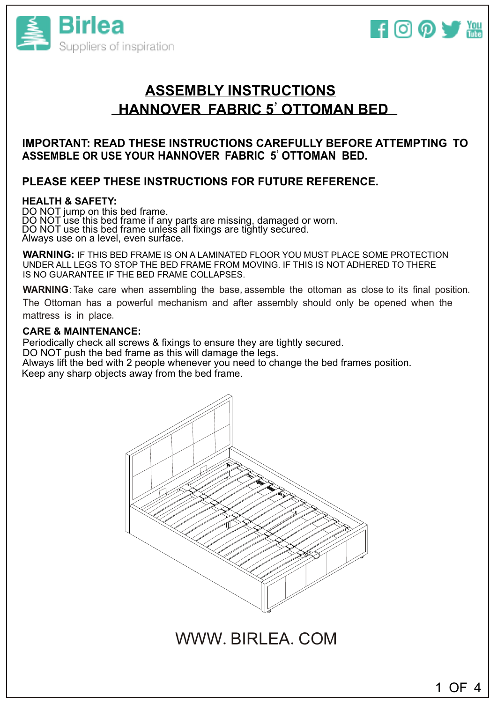



# **ASSEMBLY INSTRUCTIONS HANNOVER FABRIC 5**'**OTTOMAN BED**

## **IMPORTANT: READ THESE INSTRUCTIONS CAREFULLY BEFORE ATTEMPTING TO ASSEMBLE OR USE YOUR HANNOVER FABRIC 5**'**OTTOMAN BED.**

# **PLEASE KEEP THESE INSTRUCTIONS FOR FUTURE REFERENCE.**

### **HEALTH & SAFETY:**

DO NOT jump on this bed frame. DO NOT use this bed frame if any parts are missing, damaged or worn. DO NOT use this bed frame unless all fixings are tightly secured. Always use on a level, even surface.

**WARNING:** IF THIS BED FRAME IS ON A LAMINATED FLOOR YOU MUST PLACE SOME PROTECTION UNDER ALL LEGS TO STOP THE BED FRAME FROM MOVING. IF THIS IS NOT ADHERED TO THERE IS NO GUARANTEE IF THE BED FRAME COLLAPSES.

**WARNING**: Take care when assembling the base, assemble the ottoman as close to its final position. The Ottoman has a powerful mechanism and after assembly should only be opened when the mattress is in place.

#### **CARE & MAINTENANCE:**

Periodically check all screws & fixings to ensure they are tightly secured. DO NOT push the bed frame as this will damage the legs. Always lift the bed with 2 people whenever you need to change the bed frames position. Always int the bed with 2 people whenever you he<br>Keep any sharp objects away from the bed frame.



WWW.BIRLEA.COM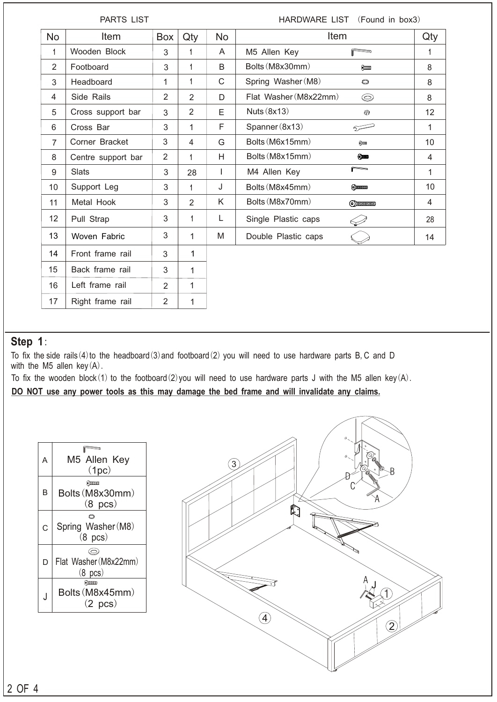| <b>PARTS LIST</b> |                    |                |                |           | HARDWARE LIST (Found in box3) |                          |     |
|-------------------|--------------------|----------------|----------------|-----------|-------------------------------|--------------------------|-----|
| <b>No</b>         | Item               | Box            | Qty            | <b>No</b> | Item                          |                          | Qty |
| 1                 | Wooden Block       | 3              | 1              | A         | M5 Allen Key                  | P                        | 1   |
| $\overline{2}$    | Footboard          | 3              | 1              | B         | Bolts (M8x30mm)               | 600000                   | 8   |
| 3                 | Headboard          | 1              | 1              | C         | Spring Washer (M8)            | $\circ$                  | 8   |
| 4                 | Side Rails         | 2              | 2              | D         | Flat Washer (M8x22mm)         | $\circledcirc$           | 8   |
| 5                 | Cross support bar  | 3              | $\overline{2}$ | Е         | Nuts $(8x13)$                 | ِ⊕                       | 12  |
| 6                 | Cross Bar          | 3              | 1              | F         | Spanner (8x13)                | فتسترد                   | 1   |
| $\overline{7}$    | Corner Bracket     | 3              | 4              | G         | Bolts (M6x15mm)               | Q                        | 10  |
| 8                 | Centre support bar | 2              | 1              | H         | Bolts (M8x15mm)               | $_{\odot}$ and           | 4   |
| 9                 | <b>Slats</b>       | 3              | 28             | L         | M4 Allen Key                  | $\overline{\phantom{a}}$ | 1   |
| 10                | Support Leg        | 3              | $\mathbf{1}$   | J         | Bolts (M8x45mm)               | $\odot$ ) $\odot$        | 10  |
| 11                | Metal Hook         | 3              | $\overline{2}$ | K         | Bolts (M8x70mm)               | $\odot$ mmmm             | 4   |
| 12                | Pull Strap         | 3              | 1              | L         | Single Plastic caps           |                          | 28  |
| 13                | Woven Fabric       | 3              | 1              | M         | Double Plastic caps           |                          | 14  |
| 14                | Front frame rail   | 3              | 1              |           |                               |                          |     |
| 15                | Back frame rail    | 3              | 1              |           |                               |                          |     |
| 16                | Left frame rail    | $\overline{2}$ | 1              |           |                               |                          |     |
| 17                | Right frame rail   | $\overline{2}$ | 1              |           |                               |                          |     |

# **Step 1**:

To fix the side rails(4)to the headboard(3)and footboard(2) you will need to use hardware parts B, C and D with the M5 allen key $(A)$ .

To fix the wooden block(1) to the footboard(2)you will need to use hardware parts J with the M5 allen key(A).

**DO NOT use any power tools as this may damage the bed frame and will invalidate any claims.**

| А | M5 Allen Key<br>(1pc)                                                                                                                                                                                                                                                                                                                                                 |
|---|-----------------------------------------------------------------------------------------------------------------------------------------------------------------------------------------------------------------------------------------------------------------------------------------------------------------------------------------------------------------------|
| B | $\odot$ HHHOMO<br>Bolts (M8x30mm)<br>$(8 \text{ pcs})$                                                                                                                                                                                                                                                                                                                |
| C | O<br>Spring Washer (M8)<br>$(8 \text{ pcs})$                                                                                                                                                                                                                                                                                                                          |
| D | ۞<br>Flat Washer (M8x22mm)<br>$(8 \text{ pcs})$                                                                                                                                                                                                                                                                                                                       |
|   | $\odot$ ) $\ddot{}$ $\ddot{}$ $\ddot{}$ $\ddot{}$ $\ddot{}$ $\ddot{}$ $\ddot{}$ $\ddot{}$ $\ddot{}$ $\ddot{}$ $\ddot{}$ $\ddot{}$ $\ddot{}$ $\ddot{}$ $\ddot{}$ $\ddot{}$ $\ddot{}$ $\ddot{}$ $\ddot{}$ $\ddot{}$ $\ddot{}$ $\ddot{}$ $\ddot{}$ $\ddot{}$ $\ddot{}$ $\ddot{}$ $\ddot{}$ $\ddot{}$ $\ddot{}$ $\ddot{}$ $\ddot$<br>Bolts (M8x45mm)<br>$(2 \text{ pcs})$ |

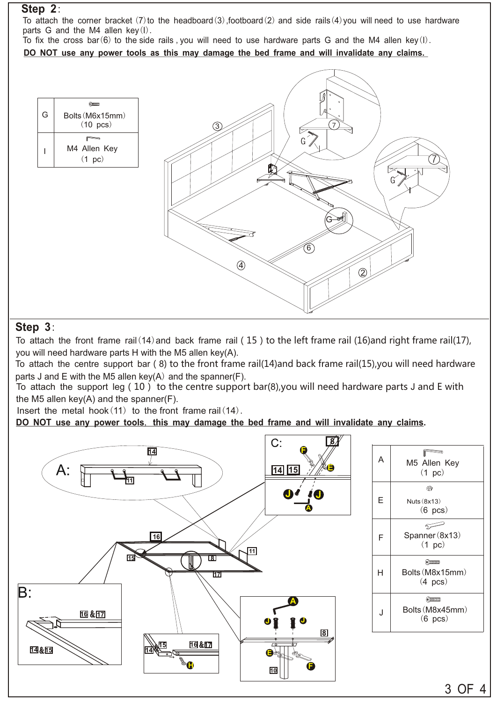## **Step 2**:

To attach the corner bracket (7) to the headboard(3), footboard(2) and side rails(4) you will need to use hardware parts G and the M4 allen key $(l)$ .

To fix the cross bar(6) to the side rails ,you will need to use hardware parts G and the M4 allen key(I). **DO NOT use any power tools as this may damage the bed frame and will invalidate any claims.**

 $Q$ G Bolts(M6x15mm) (10 pcs)  $3$  7 **PERIOT** M4 Allen Key I  $(1 \text{ pc})$ G6  $\left( 4 \right)$ 2

## **Step 3**:

To attach the front frame rail(14) and back frame rail (15) to the left frame rail (16) and right frame rail(17), you will need hardware parts H with the M5 allen key(A).

To attach the centre support bar(8) to the front frame rail(14)and back frame rail(15),you will need hardware parts J and E with the M5 allen key(A) and the spanner(F).

To attach the support leg(10) to the centre support bar(8),you will need hardware parts J and E with the M5 allen key(A) and the spanner(F).

Insert the metal hook $(11)$  to the front frame rail $(14)$ .

**DO NOT use any power tools**, **this may damage the bed frame and will invalidate any claims.**